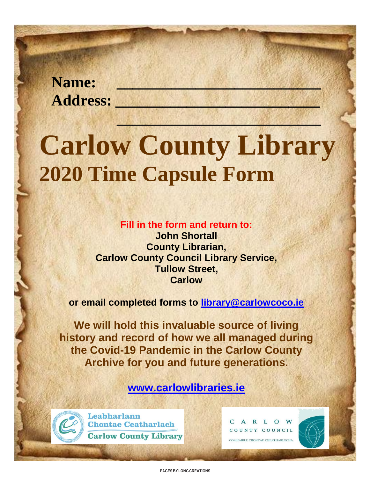**Name: \_\_\_\_\_\_\_\_\_\_\_\_\_\_\_\_\_\_\_\_\_\_\_\_\_\_ Address: \_\_\_\_\_\_\_\_\_\_\_\_\_\_\_\_\_\_\_\_\_\_\_\_\_\_**

# **Carlow County Library 2020 Time Capsule Form**

**\_\_\_\_\_\_\_\_\_\_\_\_\_\_\_\_\_\_\_\_\_\_\_\_\_\_**

**Fill in the form and return to:**

**John Shortall County Librarian, Carlow County Council Library Service, Tullow Street, Carlow**

**or email completed forms to [library@carlowcoco.ie](mailto:library@carlowcoco.ie)**

**We will hold this invaluable source of living history and record of how we all managed during the Covid-19 Pandemic in the Carlow County Archive for you and future generations.**

**[www.carlowlibraries.ie](http://www.carlowlibraries.ie/)**



Leabharlann **Chontae Ceatharlach Carlow County Library** 

C A R L O W COUNTY COUNCIL COMHAIRLE CHONTAE CHEATHARLOCH/

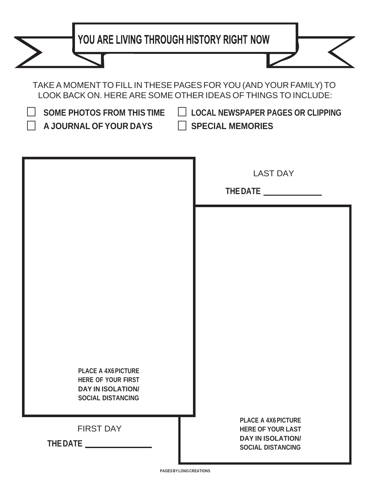| YOU ARE LIVING THROUGH HISTORY RIGHT NOW                                                                                                                                                                                                                                    |                                                                                  |  |  |
|-----------------------------------------------------------------------------------------------------------------------------------------------------------------------------------------------------------------------------------------------------------------------------|----------------------------------------------------------------------------------|--|--|
|                                                                                                                                                                                                                                                                             |                                                                                  |  |  |
| TAKE A MOMENT TO FILL IN THESE PAGES FOR YOU (AND YOUR FAMILY) TO<br>LOOK BACK ON. HERE ARE SOME OTHER IDEAS OF THINGS TO INCLUDE:<br>SOME PHOTOS FROM THIS TIME<br><b>LOCAL NEWSPAPER PAGES OR CLIPPING</b><br>$\Box$<br>A JOURNAL OF YOUR DAYS<br><b>SPECIAL MEMORIES</b> |                                                                                  |  |  |
|                                                                                                                                                                                                                                                                             | <b>LAST DAY</b><br>THE DATE __                                                   |  |  |
|                                                                                                                                                                                                                                                                             |                                                                                  |  |  |
|                                                                                                                                                                                                                                                                             |                                                                                  |  |  |
| <b>PLACE A 4X6 PICTURE</b>                                                                                                                                                                                                                                                  |                                                                                  |  |  |
| <b>HERE OF YOUR FIRST</b><br><b>DAY IN ISOLATION/</b><br><b>SOCIAL DISTANCING</b>                                                                                                                                                                                           | <b>PLACE A 4X6 PICTURE</b>                                                       |  |  |
| <b>FIRST DAY</b><br>THE DATE <b>The State State</b>                                                                                                                                                                                                                         | <b>HERE OF YOUR LAST</b><br><b>DAY IN ISOLATION/</b><br><b>SOCIAL DISTANCING</b> |  |  |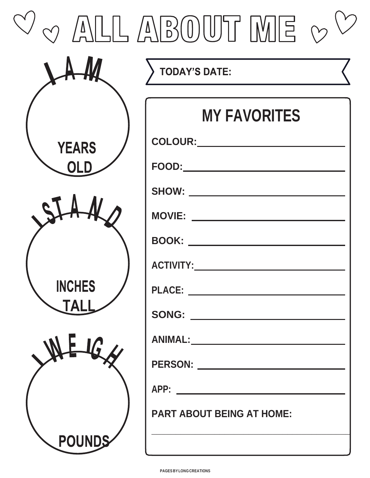| $\bigcirc$ $\bigwedge^{\prime}$ | LLABOUT ME v                            |
|---------------------------------|-----------------------------------------|
|                                 | <b>TODAY'S DATE:</b>                    |
|                                 | <b>MY FAVORITES</b><br>COLOUR:          |
| <b>YEARS</b>                    | <b>FOOD:</b>                            |
|                                 | <b>SHOW:</b> _________<br><b>MOVIE:</b> |
|                                 | <b>BOOK:</b> ______<br><b>ACTIVITY:</b> |
| <b>INCHES</b><br><b>TAL</b>     | SONG: ________________________          |
|                                 |                                         |
|                                 | PERSON: ________________________        |
| POUNDS                          | <b>PART ABOUT BEING AT HOME:</b>        |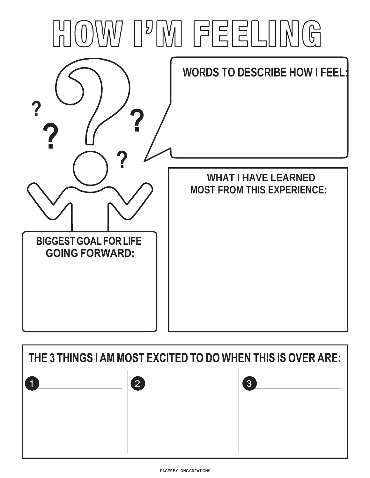

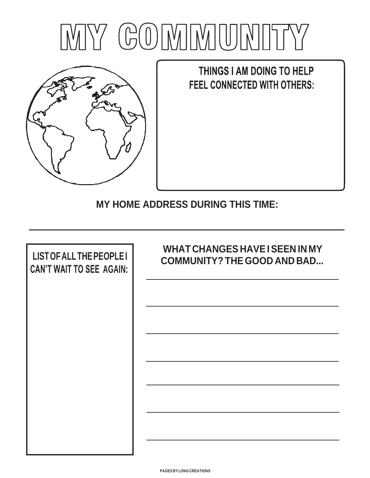



THINGS I AM DOING TO HELP **FEEL CONNECTED WITH OTHERS:** 

**MY HOME ADDRESS DURING THIS TIME:**

| <b>LIST OF ALL THE PEOPLE I</b> | <b>WHAT CHANGES HAVE I SEEN IN MY</b> |
|---------------------------------|---------------------------------------|
| <b>CAN'T WAIT TO SEE AGAIN:</b> | <b>COMMUNITY? THE GOOD AND BAD</b>    |
|                                 |                                       |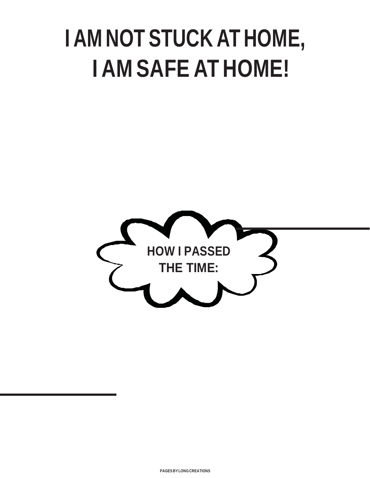# **I AM NOT STUCK AT HOME, I AM SAFE AT HOME!**



 $\mathbf{I}$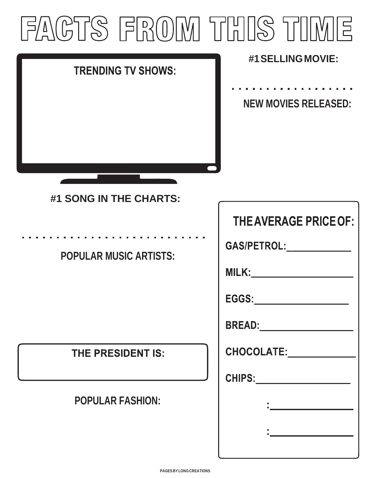## FACTS FROM THIS TIME **#1SELLINGMOVIE:**

| <b>TRENDING TV SHOWS:</b> |                             |
|---------------------------|-----------------------------|
|                           | <b>NEW MOVIES RELEASED:</b> |
|                           |                             |
| #1 SONG IN THE CHARTS:    |                             |

#### **POPULAR MUSIC ARTISTS:**

#### **THE PRESIDENT IS:**

#### **POPULAR FASHION:**

| <b>THE AVERAGE PRICE OF:</b>                                                                                                                                                                                                     |
|----------------------------------------------------------------------------------------------------------------------------------------------------------------------------------------------------------------------------------|
| GAS/PETROL:_____________                                                                                                                                                                                                         |
| <u>MILK:____________________</u>                                                                                                                                                                                                 |
|                                                                                                                                                                                                                                  |
|                                                                                                                                                                                                                                  |
| CHOCOLATE: _____________                                                                                                                                                                                                         |
|                                                                                                                                                                                                                                  |
| $\frac{1}{2}$ . The set of the set of the set of the set of the set of the set of the set of the set of the set of the set of the set of the set of the set of the set of the set of the set of the set of the set of the set of |
|                                                                                                                                                                                                                                  |
|                                                                                                                                                                                                                                  |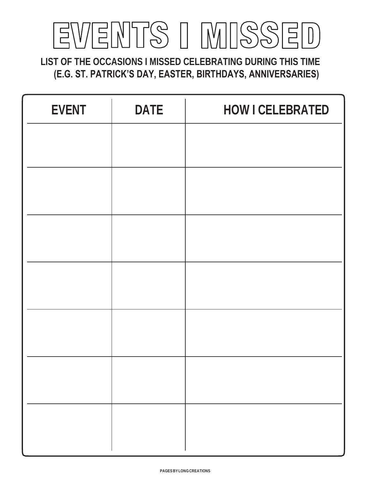## EVENTS I MISSE  $\begin{bmatrix} 1 & 1 \\ 1 & 1 \end{bmatrix}$

**LIST OF THE OCCASIONS I MISSED CELEBRATING DURING THIS TIME (E.G. ST. PATRICK'S DAY, EASTER, BIRTHDAYS, ANNIVERSARIES)**

| <b>EVENT</b> | <b>DATE</b> | <b>HOW I CELEBRATED</b> |
|--------------|-------------|-------------------------|
|              |             |                         |
|              |             |                         |
|              |             |                         |
|              |             |                         |
|              |             |                         |
|              |             |                         |
|              |             |                         |
|              |             |                         |
|              |             |                         |
|              |             |                         |
|              |             |                         |
|              |             |                         |
|              |             |                         |
|              |             |                         |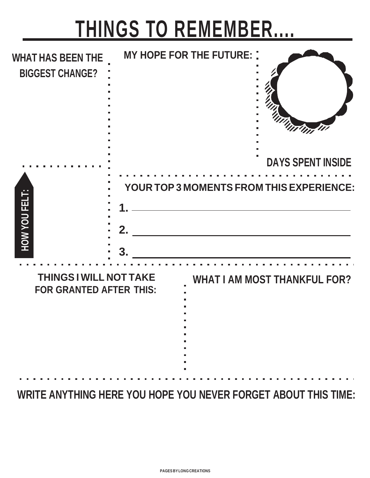# **THINGS TO REMEMBER....**

| <b>WHAT HAS BEEN THE</b><br><b>BIGGEST CHANGE?</b>              |         | <b>MY HOPE FOR THE FUTURE: :</b> | "Int In<br><b>DAYS SPENT INSIDE</b>                            |
|-----------------------------------------------------------------|---------|----------------------------------|----------------------------------------------------------------|
| HOW YOU FELT:                                                   | 2.<br>3 |                                  | YOUR TOP 3 MOMENTS FROM THIS EXPERIENCE:                       |
| <b>THINGS I WILL NOT TAKE</b><br><b>FOR GRANTED AFTER THIS:</b> |         |                                  | <b>WHAT I AM MOST THANKFUL FOR?</b>                            |
|                                                                 |         |                                  | WRITE ANYTHING HERE YOU HOPE YOU NEVER FORGET ABOUT THIS TIME: |